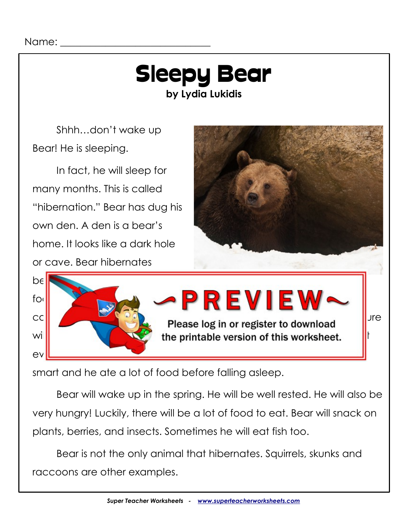## Sleepy Bear **by Lydia Lukidis**

Shhh…don't wake up Bear! He is sleeping.

In fact, he will sleep for many months. This is called "hibernation." Bear has dug his own den. A den is a bear's home. It looks like a dark hole or cave. Bear hibernates





smart and he ate a lot of food before falling asleep.

Bear will wake up in the spring. He will be well rested. He will also be very hungry! Luckily, there will be a lot of food to eat. Bear will snack on plants, berries, and insects. Sometimes he will eat fish too.

Bear is not the only animal that hibernates. Squirrels, skunks and raccoons are other examples.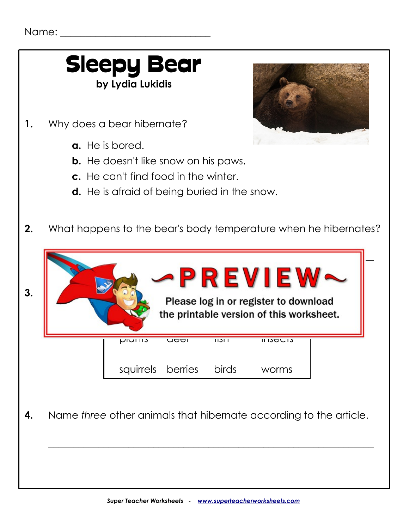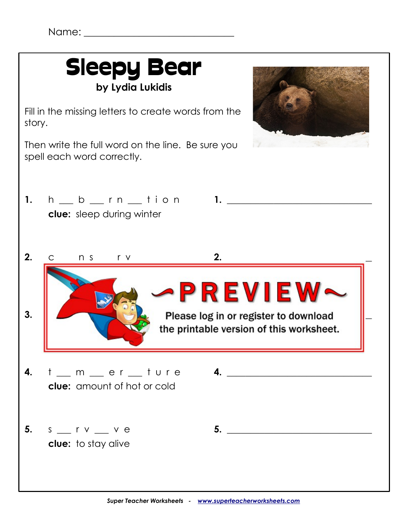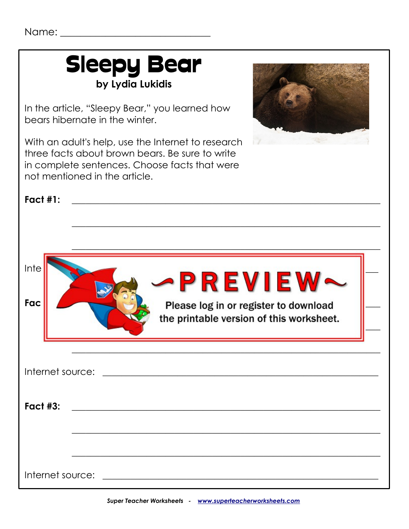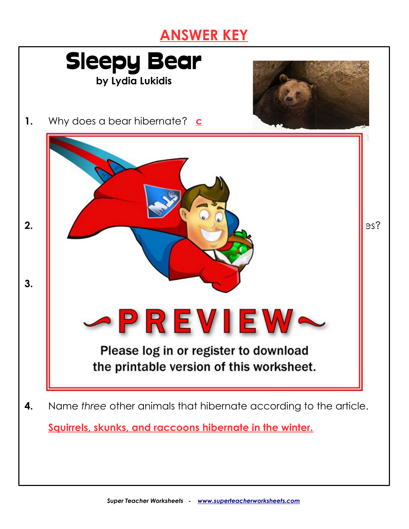## **ANSWER KEY**